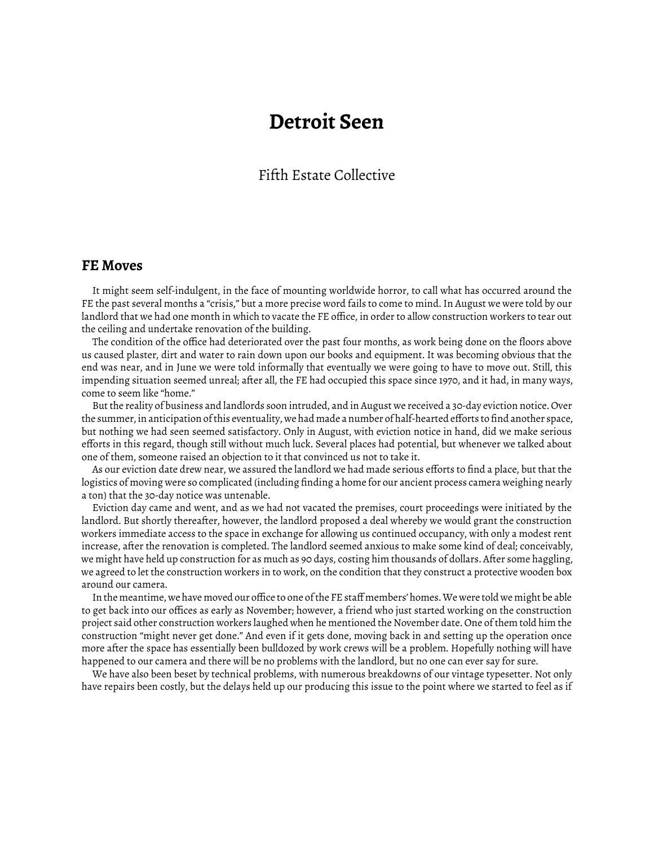# **Detroit Seen**

## Fifth Estate Collective

#### **FE Moves**

It might seem self-indulgent, in the face of mounting worldwide horror, to call what has occurred around the FE the past several months a "crisis," but a more precise word fails to come to mind. In August we were told by our landlord that we had one month in which to vacate the FE office, in order to allow construction workers to tear out the ceiling and undertake renovation of the building.

The condition of the office had deteriorated over the past four months, as work being done on the floors above us caused plaster, dirt and water to rain down upon our books and equipment. It was becoming obvious that the end was near, and in June we were told informally that eventually we were going to have to move out. Still, this impending situation seemed unreal; after all, the FE had occupied this space since 1970, and it had, in many ways, come to seem like "home."

But the reality of business and landlords soon intruded, and in August we received a 30-day eviction notice. Over the summer, in anticipation of this eventuality, we had made a number of half-hearted efforts to find another space, but nothing we had seen seemed satisfactory. Only in August, with eviction notice in hand, did we make serious efforts in this regard, though still without much luck. Several places had potential, but whenever we talked about one of them, someone raised an objection to it that convinced us not to take it.

As our eviction date drew near, we assured the landlord we had made serious efforts to find a place, but that the logistics of moving were so complicated (including finding a home for our ancient process camera weighing nearly a ton) that the 30-day notice was untenable.

Eviction day came and went, and as we had not vacated the premises, court proceedings were initiated by the landlord. But shortly thereafter, however, the landlord proposed a deal whereby we would grant the construction workers immediate access to the space in exchange for allowing us continued occupancy, with only a modest rent increase, after the renovation is completed. The landlord seemed anxious to make some kind of deal; conceivably, we might have held up construction for as much as 90 days, costing him thousands of dollars. After some haggling, we agreed to let the construction workers in to work, on the condition that they construct a protective wooden box around our camera.

In the meantime, we have moved our office to one of the FE staff members' homes. We were told we might be able to get back into our offices as early as November; however, a friend who just started working on the construction project said other construction workers laughed when he mentioned the November date. One of them told him the construction "might never get done." And even if it gets done, moving back in and setting up the operation once more after the space has essentially been bulldozed by work crews will be a problem. Hopefully nothing will have happened to our camera and there will be no problems with the landlord, but no one can ever say for sure.

We have also been beset by technical problems, with numerous breakdowns of our vintage typesetter. Not only have repairs been costly, but the delays held up our producing this issue to the point where we started to feel as if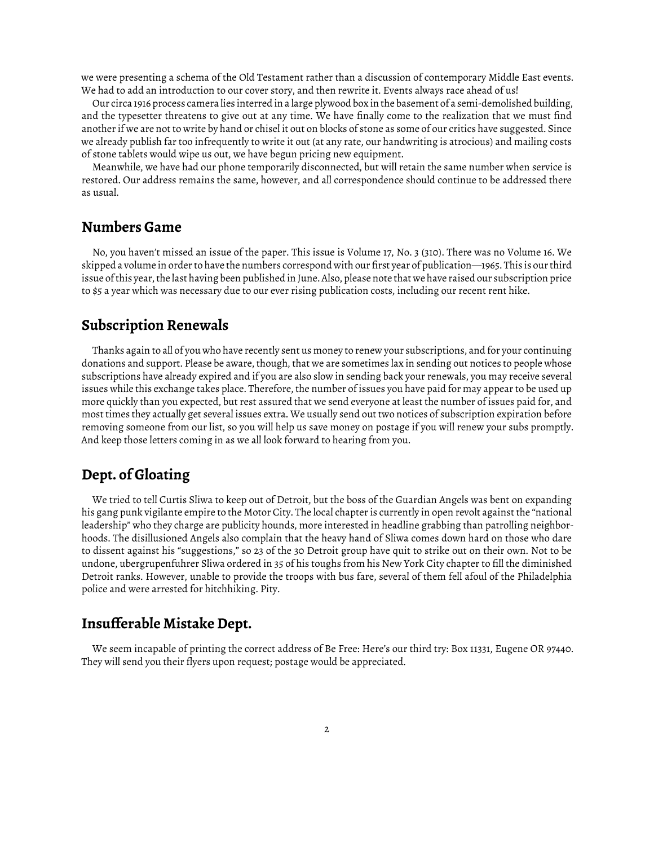we were presenting a schema of the Old Testament rather than a discussion of contemporary Middle East events. We had to add an introduction to our cover story, and then rewrite it. Events always race ahead of us!

Our circa 1916 process camera lies interred in a large plywood box in the basement of a semi-demolished building, and the typesetter threatens to give out at any time. We have finally come to the realization that we must find another if we are not to write by hand or chisel it out on blocks of stone as some of our critics have suggested. Since we already publish far too infrequently to write it out (at any rate, our handwriting is atrocious) and mailing costs of stone tablets would wipe us out, we have begun pricing new equipment.

Meanwhile, we have had our phone temporarily disconnected, but will retain the same number when service is restored. Our address remains the same, however, and all correspondence should continue to be addressed there as usual.

### **Numbers Game**

No, you haven't missed an issue of the paper. This issue is Volume 17, No. 3 (310). There was no Volume 16. We skipped a volume in order to have the numbers correspond with our first year of publication—1965. This is our third issue of this year, the last having been published in June. Also, please note that we have raised our subscription price to \$5 a year which was necessary due to our ever rising publication costs, including our recent rent hike.

## **Subscription Renewals**

Thanks again to all of you who have recently sent us money to renew your subscriptions, and for your continuing donations and support. Please be aware, though, that we are sometimes lax in sending out notices to people whose subscriptions have already expired and if you are also slow in sending back your renewals, you may receive several issues while this exchange takes place. Therefore, the number of issues you have paid for may appear to be used up more quickly than you expected, but rest assured that we send everyone at least the number of issues paid for, and most times they actually get several issues extra. We usually send out two notices of subscription expiration before removing someone from our list, so you will help us save money on postage if you will renew your subs promptly. And keep those letters coming in as we all look forward to hearing from you.

## **Dept. of Gloating**

We tried to tell Curtis Sliwa to keep out of Detroit, but the boss of the Guardian Angels was bent on expanding his gang punk vigilante empire to the Motor City. The local chapter is currently in open revolt against the "national leadership" who they charge are publicity hounds, more interested in headline grabbing than patrolling neighborhoods. The disillusioned Angels also complain that the heavy hand of Sliwa comes down hard on those who dare to dissent against his "suggestions," so 23 of the 30 Detroit group have quit to strike out on their own. Not to be undone, ubergrupenfuhrer Sliwa ordered in 35 of his toughs from his New York City chapter to fill the diminished Detroit ranks. However, unable to provide the troops with bus fare, several of them fell afoul of the Philadelphia police and were arrested for hitchhiking. Pity.

### **Insufferable Mistake Dept.**

We seem incapable of printing the correct address of Be Free: Here's our third try: Box 11331, Eugene OR 97440. They will send you their flyers upon request; postage would be appreciated.